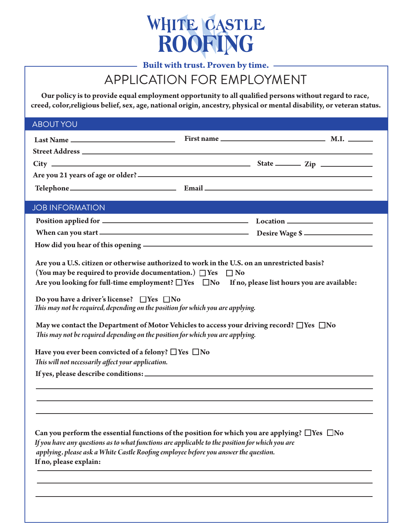

# APPLICATION FOR EMPLOYMENT

Our policy is to provide equal employment opportunity to all qualified persons without regard to race, **creed, color,religious belief, sex, age, national origin, ancestry, physical or mental disability, or veteran status.**

| <b>ABOUT YOU</b>                                                                                                                                                                                                                           |                                                                                                                                                                                                                                                                                                                                                                                                     |  |
|--------------------------------------------------------------------------------------------------------------------------------------------------------------------------------------------------------------------------------------------|-----------------------------------------------------------------------------------------------------------------------------------------------------------------------------------------------------------------------------------------------------------------------------------------------------------------------------------------------------------------------------------------------------|--|
|                                                                                                                                                                                                                                            |                                                                                                                                                                                                                                                                                                                                                                                                     |  |
|                                                                                                                                                                                                                                            |                                                                                                                                                                                                                                                                                                                                                                                                     |  |
|                                                                                                                                                                                                                                            | $City$ $2ip$                                                                                                                                                                                                                                                                                                                                                                                        |  |
|                                                                                                                                                                                                                                            |                                                                                                                                                                                                                                                                                                                                                                                                     |  |
|                                                                                                                                                                                                                                            |                                                                                                                                                                                                                                                                                                                                                                                                     |  |
| <b>JOB INFORMATION</b>                                                                                                                                                                                                                     |                                                                                                                                                                                                                                                                                                                                                                                                     |  |
|                                                                                                                                                                                                                                            |                                                                                                                                                                                                                                                                                                                                                                                                     |  |
|                                                                                                                                                                                                                                            |                                                                                                                                                                                                                                                                                                                                                                                                     |  |
|                                                                                                                                                                                                                                            | How did you hear of this opening - The contract of the set of the set of this opening -                                                                                                                                                                                                                                                                                                             |  |
| (You may be required to provide documentation.) $\Box$ Yes<br>Do you have a driver's license? $\Box$ Yes $\Box$ No<br>Have you ever been convicted of a felony? $\Box$ Yes $\Box$ No<br>This will not necessarily affect your application. | $\Box$ No<br>Are you looking for full-time employment? $\Box$ Yes $\Box$ No If no, please list hours you are available:<br>This may not be required, depending on the position for which you are applying.<br>May we contact the Department of Motor Vehicles to access your driving record? $\Box$ Yes $\Box$ No<br>This may not be required depending on the position for which you are applying. |  |
|                                                                                                                                                                                                                                            |                                                                                                                                                                                                                                                                                                                                                                                                     |  |
| If no, please explain:                                                                                                                                                                                                                     | Can you perform the essential functions of the position for which you are applying? $\Box$ Yes $\Box$ No<br>If you have any questions as to what functions are applicable to the position for which you are<br>applying, please ask a White Castle Roofing employee before you answer the question.                                                                                                 |  |
|                                                                                                                                                                                                                                            |                                                                                                                                                                                                                                                                                                                                                                                                     |  |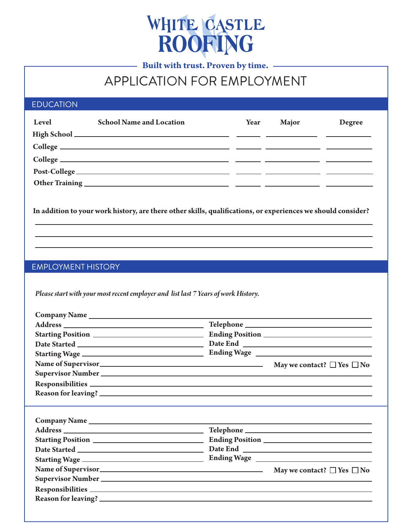

# APPLICATION FOR EMPLOYMENT

### EDUCATION

| Level | <b>School Name and Location</b> | Year | <b>Major</b> | Degree |
|-------|---------------------------------|------|--------------|--------|
|       |                                 |      |              |        |
|       |                                 |      |              |        |
|       |                                 |      |              |        |
|       |                                 |      |              |        |
|       |                                 |      |              |        |

In addition to your work history, are there other skills, qualifications, or experiences we should consider?

#### EMPLOYMENT HISTORY

*Please start with your most recent employer and list last 7 Years of work History.*

| Name of Supervisor<br><u> </u><br>May we contact? □ Yes □ No |  |
|--------------------------------------------------------------|--|
|                                                              |  |
|                                                              |  |
|                                                              |  |
|                                                              |  |
|                                                              |  |
|                                                              |  |
|                                                              |  |
|                                                              |  |
|                                                              |  |
|                                                              |  |
| Name of Supervisor<br><u>Nay we contact</u> ? □ Yes □ No     |  |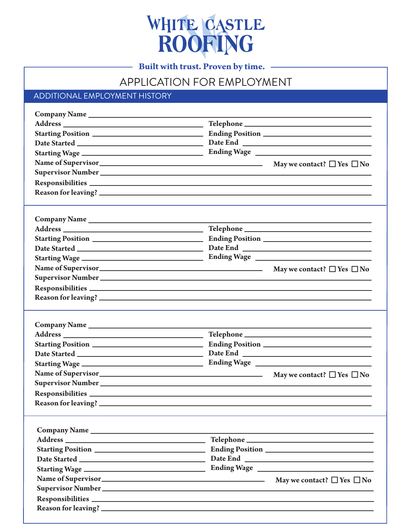

## APPLICATION FOR EMPLOYMENT

## ADDITIONAL EMPLOYMENT HISTORY

| ${\small \textbf{Date }Started } \underline{\hspace{1cm}} \underline{\hspace{1cm}} \underline{\hspace{1cm}}$                                                                                                                         |                                      |
|--------------------------------------------------------------------------------------------------------------------------------------------------------------------------------------------------------------------------------------|--------------------------------------|
|                                                                                                                                                                                                                                      |                                      |
| Name of Supervisor<br><u>Name of Supervisor</u> $\Box$ No                                                                                                                                                                            |                                      |
|                                                                                                                                                                                                                                      |                                      |
| Responsibilities <b>and the contract of the contract of the contract of the contract of the contract of the contract of the contract of the contract of the contract of the contract of the contract of the contract of the cont</b> |                                      |
|                                                                                                                                                                                                                                      |                                      |
|                                                                                                                                                                                                                                      |                                      |
|                                                                                                                                                                                                                                      |                                      |
|                                                                                                                                                                                                                                      |                                      |
|                                                                                                                                                                                                                                      |                                      |
|                                                                                                                                                                                                                                      |                                      |
|                                                                                                                                                                                                                                      |                                      |
| Name of Supervisor<br><u>Nay we contact</u> ? □ Yes □ No                                                                                                                                                                             |                                      |
|                                                                                                                                                                                                                                      |                                      |
| Responsibilities exponential contract to the contract of the contract of the contract of the contract of the contract of the contract of the contract of the contract of the contract of the contract of the contract of the c       |                                      |
|                                                                                                                                                                                                                                      |                                      |
|                                                                                                                                                                                                                                      |                                      |
|                                                                                                                                                                                                                                      |                                      |
|                                                                                                                                                                                                                                      | May we contact? $\Box$ Yes $\Box$ No |
|                                                                                                                                                                                                                                      |                                      |
|                                                                                                                                                                                                                                      |                                      |
| Reason for leaving? _                                                                                                                                                                                                                |                                      |
|                                                                                                                                                                                                                                      |                                      |
|                                                                                                                                                                                                                                      |                                      |
|                                                                                                                                                                                                                                      |                                      |
|                                                                                                                                                                                                                                      |                                      |
|                                                                                                                                                                                                                                      |                                      |
|                                                                                                                                                                                                                                      |                                      |
|                                                                                                                                                                                                                                      |                                      |
| Name of Supervisor<br><u>Nay we contact</u> ? □ Yes □ No                                                                                                                                                                             |                                      |
|                                                                                                                                                                                                                                      |                                      |